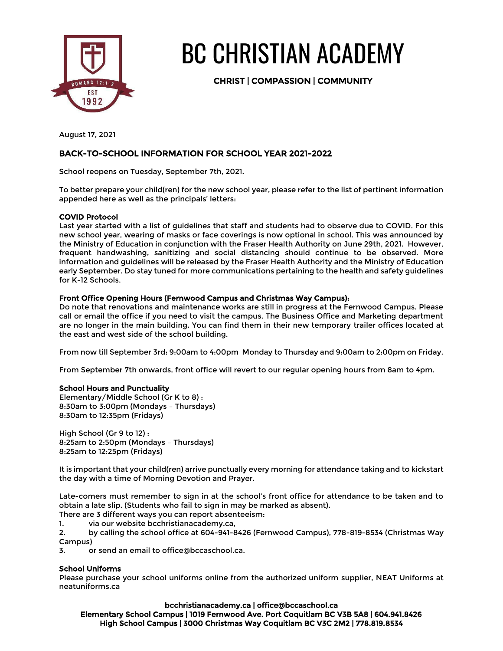

# BC CHRISTIAN ACADEMY

CHRIST | COMPASSION | COMMUNITY

August 17, 2021

# BACK-TO-SCHOOL INFORMATION FOR SCHOOL YEAR 2021-2022

School reopens on Tuesday, September 7th, 2021.

To better prepare your child(ren) for the new school year, please refer to the list of pertinent information appended here as well as the principals' letters:

# COVID Protocol

Last year started with a list of guidelines that staff and students had to observe due to COVID. For this new school year, wearing of masks or face coverings is now optional in school. This was announced by the Ministry of Education in conjunction with the Fraser Health Authority on June 29th, 2021. However, frequent handwashing, sanitizing and social distancing should continue to be observed. More information and guidelines will be released by the Fraser Health Authority and the Ministry of Education early September. Do stay tuned for more communications pertaining to the health and safety guidelines for K-12 Schools.

# Front Office Opening Hours (Fernwood Campus and Christmas Way Campus):

Do note that renovations and maintenance works are still in progress at the Fernwood Campus. Please call or email the office if you need to visit the campus. The Business Office and Marketing department are no longer in the main building. You can find them in their new temporary trailer offices located at the east and west side of the school building.

From now till September 3rd: 9:00am to 4:00pm Monday to Thursday and 9:00am to 2:00pm on Friday.

From September 7th onwards, front office will revert to our regular opening hours from 8am to 4pm.

# School Hours and Punctuality

Elementary/Middle School (Gr K to 8) : 8:30am to 3:00pm (Mondays – Thursdays) 8:30am to 12:35pm (Fridays)

High School (Gr 9 to 12) : 8:25am to 2:50pm (Mondays – Thursdays) 8:25am to 12:25pm (Fridays)

It is important that your child(ren) arrive punctually every morning for attendance taking and to kickstart the day with a time of Morning Devotion and Prayer.

Late-comers must remember to sign in at the school's front office for attendance to be taken and to obtain a late slip. (Students who fail to sign in may be marked as absent).

There are 3 different ways you can report absenteeism:

1. via our website bcchristianacademy.ca,

2. by calling the school office at 604-941-8426 (Fernwood Campus), 778-819-8534 (Christmas Way Campus)

3. or send an email to office@bccaschool.ca.

# School Uniforms

Please purchase your school uniforms online from the authorized uniform supplier, NEAT Uniforms at neatuniforms.ca

bcchristianacademy.ca | office@bccaschool.ca Elementary School Campus | 1019 Fernwood Ave. Port Coquitlam BC V3B 5A8 | 604.941.8426 High School Campus | 3000 Christmas Way Coquitlam BC V3C 2M2 | 778.819.8534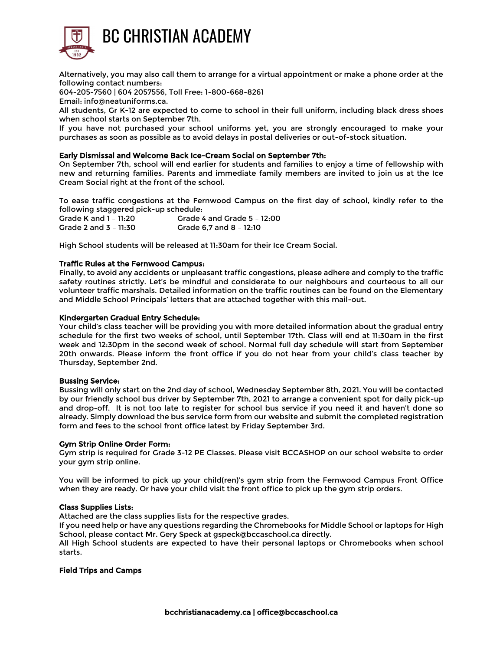

Alternatively, you may also call them to arrange for a virtual appointment or make a phone order at the following contact numbers:

604-205-7560 | 604 2057556, Toll Free: 1-800-668-8261

Email: info@neatuniforms.ca.

All students, Gr K-12 are expected to come to school in their full uniform, including black dress shoes when school starts on September 7th.

If you have not purchased your school uniforms yet, you are strongly encouraged to make your purchases as soon as possible as to avoid delays in postal deliveries or out-of-stock situation.

#### Early Dismissal and Welcome Back Ice-Cream Social on September 7th:

On September 7th, school will end earlier for students and families to enjoy a time of fellowship with new and returning families. Parents and immediate family members are invited to join us at the Ice Cream Social right at the front of the school.

To ease traffic congestions at the Fernwood Campus on the first day of school, kindly refer to the following staggered pick-up schedule:

| Grade K and 1 - 11:20 | Grade 4 and Grade 5 - 12:00 |
|-----------------------|-----------------------------|
| Grade 2 and 3 - 11:30 | Grade 6.7 and 8 - 12:10     |

High School students will be released at 11:30am for their Ice Cream Social.

#### Traffic Rules at the Fernwood Campus:

Finally, to avoid any accidents or unpleasant traffic congestions, please adhere and comply to the traffic safety routines strictly. Let's be mindful and considerate to our neighbours and courteous to all our volunteer traffic marshals. Detailed information on the traffic routines can be found on the Elementary and Middle School Principals' letters that are attached together with this mail-out.

#### Kindergarten Gradual Entry Schedule:

Your child's class teacher will be providing you with more detailed information about the gradual entry schedule for the first two weeks of school, until September 17th. Class will end at 11:30am in the first week and 12:30pm in the second week of school. Normal full day schedule will start from September 20th onwards. Please inform the front office if you do not hear from your child's class teacher by Thursday, September 2nd.

#### Bussing Service:

Bussing will only start on the 2nd day of school, Wednesday September 8th, 2021. You will be contacted by our friendly school bus driver by September 7th, 2021 to arrange a convenient spot for daily pick-up and drop-off. It is not too late to register for school bus service if you need it and haven't done so already. Simply download the bus service form from our website and submit the completed registration form and fees to the school front office latest by Friday September 3rd.

#### Gym Strip Online Order Form:

Gym strip is required for Grade 3-12 PE Classes. Please visit BCCASHOP on our school website to order your gym strip online.

You will be informed to pick up your child(ren)'s gym strip from the Fernwood Campus Front Office when they are ready. Or have your child visit the front office to pick up the gym strip orders.

#### Class Supplies Lists:

Attached are the class supplies lists for the respective grades.

If you need help or have any questions regarding the Chromebooks for Middle School or laptops for High School, please contact Mr. Gery Speck at gspeck@bccaschool.ca directly.

All High School students are expected to have their personal laptops or Chromebooks when school starts.

#### Field Trips and Camps